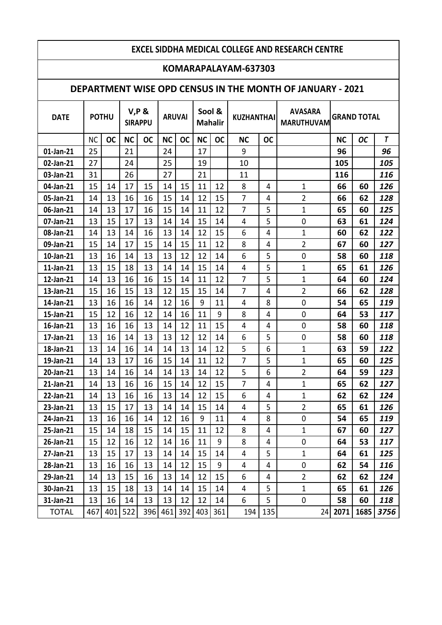#### **KOMARAPALAYAM-637303**

### **DEPARTMENT WISE OPD CENSUS IN THE MONTH OF JANUARY - 2021**

| <b>DATE</b>  |           | <b>POTHU</b> |           | <b>V,P &amp;</b><br><b>SIRAPPU</b> | <b>ARUVAI</b> |           | Sool &<br><b>Mahalir</b> |           |                | <b>AVASARA</b><br><b>KUZHANTHAI</b><br><b>MARUTHUVAM</b> |                |           | <b>GRAND TOTAL</b> |      |  |
|--------------|-----------|--------------|-----------|------------------------------------|---------------|-----------|--------------------------|-----------|----------------|----------------------------------------------------------|----------------|-----------|--------------------|------|--|
|              | <b>NC</b> | <b>OC</b>    | <b>NC</b> | <b>OC</b>                          | <b>NC</b>     | <b>OC</b> | <b>NC</b>                | <b>OC</b> | <b>NC</b>      | <b>OC</b>                                                |                | <b>NC</b> | <b>OC</b>          | T    |  |
| 01-Jan-21    | 25        |              | 21        |                                    | 24            |           | 17                       |           | 9              |                                                          |                | 96        |                    | 96   |  |
| 02-Jan-21    | 27        |              | 24        |                                    | 25            |           | 19                       |           | 10             |                                                          |                | 105       |                    | 105  |  |
| 03-Jan-21    | 31        |              | 26        |                                    | 27            |           | 21                       |           | 11             |                                                          |                | 116       |                    | 116  |  |
| 04-Jan-21    | 15        | 14           | 17        | 15                                 | 14            | 15        | 11                       | 12        | 8              | 4                                                        | 1              | 66        | 60                 | 126  |  |
| 05-Jan-21    | 14        | 13           | 16        | 16                                 | 15            | 14        | 12                       | 15        | $\overline{7}$ | 4                                                        | $\overline{2}$ | 66        | 62                 | 128  |  |
| 06-Jan-21    | 14        | 13           | 17        | 16                                 | 15            | 14        | 11                       | 12        | 7              | 5                                                        | $\mathbf{1}$   | 65        | 60                 | 125  |  |
| 07-Jan-21    | 13        | 15           | 17        | 13                                 | 14            | 14        | 15                       | 14        | 4              | 5                                                        | 0              | 63        | 61                 | 124  |  |
| 08-Jan-21    | 14        | 13           | 14        | 16                                 | 13            | 14        | 12                       | 15        | 6              | 4                                                        | $\mathbf 1$    | 60        | 62                 | 122  |  |
| 09-Jan-21    | 15        | 14           | 17        | 15                                 | 14            | 15        | 11                       | 12        | 8              | 4                                                        | $\overline{2}$ | 67        | 60                 | 127  |  |
| 10-Jan-21    | 13        | 16           | 14        | 13                                 | 13            | 12        | 12                       | 14        | 6              | 5                                                        | 0              | 58        | 60                 | 118  |  |
| 11-Jan-21    | 13        | 15           | 18        | 13                                 | 14            | 14        | 15                       | 14        | 4              | 5                                                        | 1              | 65        | 61                 | 126  |  |
| 12-Jan-21    | 14        | 13           | 16        | 16                                 | 15            | 14        | 11                       | 12        | $\overline{7}$ | 5                                                        | $\mathbf 1$    | 64        | 60                 | 124  |  |
| 13-Jan-21    | 15        | 16           | 15        | 13                                 | 12            | 15        | 15                       | 14        | $\overline{7}$ | 4                                                        | $\overline{2}$ | 66        | 62                 | 128  |  |
| 14-Jan-21    | 13        | 16           | 16        | 14                                 | 12            | 16        | 9                        | 11        | 4              | 8                                                        | 0              | 54        | 65                 | 119  |  |
| 15-Jan-21    | 15        | 12           | 16        | 12                                 | 14            | 16        | 11                       | 9         | 8              | 4                                                        | $\mathbf 0$    | 64        | 53                 | 117  |  |
| 16-Jan-21    | 13        | 16           | 16        | 13                                 | 14            | 12        | 11                       | 15        | 4              | 4                                                        | 0              | 58        | 60                 | 118  |  |
| 17-Jan-21    | 13        | 16           | 14        | 13                                 | 13            | 12        | 12                       | 14        | 6              | 5                                                        | 0              | 58        | 60                 | 118  |  |
| 18-Jan-21    | 13        | 14           | 16        | 14                                 | 14            | 13        | 14                       | 12        | 5              | 6                                                        | $\mathbf 1$    | 63        | 59                 | 122  |  |
| 19-Jan-21    | 14        | 13           | 17        | 16                                 | 15            | 14        | 11                       | 12        | 7              | 5                                                        | $\mathbf{1}$   | 65        | 60                 | 125  |  |
| 20-Jan-21    | 13        | 14           | 16        | 14                                 | 14            | 13        | 14                       | 12        | 5              | 6                                                        | $\overline{2}$ | 64        | 59                 | 123  |  |
| 21-Jan-21    | 14        | 13           | 16        | 16                                 | 15            | 14        | 12                       | 15        | 7              | 4                                                        | 1              | 65        | 62                 | 127  |  |
| 22-Jan-21    | 14        | 13           | 16        | 16                                 | 13            | 14        | 12                       | 15        | 6              | 4                                                        | $\mathbf{1}$   | 62        | 62                 | 124  |  |
| 23-Jan-21    | 13        | 15           | 17        | 13                                 | 14            | 14        | 15                       | 14        | 4              | 5                                                        | $\overline{2}$ | 65        | 61                 | 126  |  |
| 24-Jan-21    | 13        | 16           | 16        | 14                                 | 12            | 16        | 9                        | 11        | 4              | 8                                                        | 0              | 54        | 65                 | 119  |  |
| 25-Jan-21    | 15        | 14           | 18        | 15                                 | 14            | 15        | 11                       | 12        | 8              | 4                                                        | 1              | 67        | 60                 | 127  |  |
| 26-Jan-21    | 15        | 12           | 16        | 12                                 | 14            | 16        | 11                       | 9         | 8              | 4                                                        | 0              | 64        | 53                 | 117  |  |
| 27-Jan-21    | 13        | 15           | 17        | 13                                 | 14            | 14        | 15                       | 14        | 4              | 5                                                        | $\mathbf 1$    | 64        | 61                 | 125  |  |
| 28-Jan-21    | 13        | 16           | 16        | 13                                 | 14            | 12        | 15                       | 9         | 4              | 4                                                        | 0              | 62        | 54                 | 116  |  |
| 29-Jan-21    | 14        | 13           | 15        | 16                                 | 13            | 14        | 12                       | 15        | 6              | 4                                                        | $\overline{2}$ | 62        | 62                 | 124  |  |
| 30-Jan-21    | 13        | 15           | 18        | 13                                 | 14            | 14        | 15                       | 14        | 4              | 5                                                        | $\mathbf{1}$   | 65        | 61                 | 126  |  |
| 31-Jan-21    | 13        | 16           | 14        | 13                                 | 13            | 12        | 12                       | 14        | 6              | 5                                                        | 0              | 58        | 60                 | 118  |  |
| <b>TOTAL</b> | 467       | 401          | 522       | 396                                | 461           | 392       | 403                      | 361       | 194            | 135                                                      | 24             | 2071      | 1685               | 3756 |  |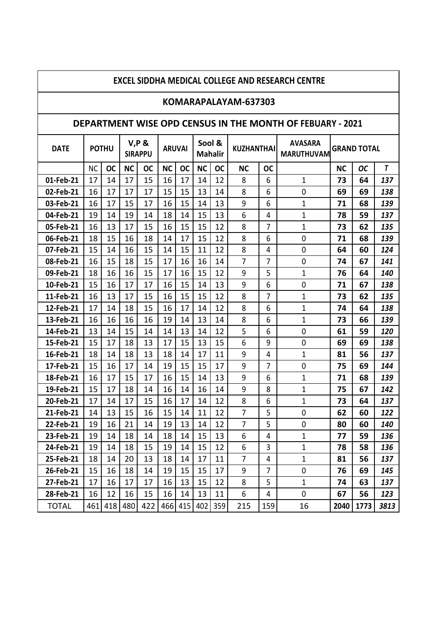## **KOMARAPALAYAM-637303**

### **DEPARTMENT WISE OPD CENSUS IN THE MONTH OF FEBUARY - 2021**

| <b>DATE</b>  |           | <b>POTHU</b> |           | <b>V,P &amp;</b><br><b>SIRAPPU</b> | <b>ARUVAI</b> |           | Sool &<br><b>Mahalir</b> |           | <b>KUZHANTHAI</b> |                | <b>AVASARA</b><br><b>MARUTHUVAM</b> |           | <b>GRAND TOTAL</b> |                |  |
|--------------|-----------|--------------|-----------|------------------------------------|---------------|-----------|--------------------------|-----------|-------------------|----------------|-------------------------------------|-----------|--------------------|----------------|--|
|              | <b>NC</b> | <b>OC</b>    | <b>NC</b> | <b>OC</b>                          | <b>NC</b>     | <b>OC</b> | <b>NC</b>                | <b>OC</b> | <b>NC</b>         | <b>OC</b>      |                                     | <b>NC</b> | <b>OC</b>          | $\overline{I}$ |  |
| 01-Feb-21    | 17        | 14           | 17        | 15                                 | 16            | 17        | 14                       | 12        | 8                 | 6              | $\mathbf 1$                         | 73        | 64                 | 137            |  |
| 02-Feb-21    | 16        | 17           | 17        | 17                                 | 15            | 15        | 13                       | 14        | 8                 | 6              | 0                                   | 69        | 69                 | 138            |  |
| 03-Feb-21    | 16        | 17           | 15        | 17                                 | 16            | 15        | 14                       | 13        | 9                 | 6              | $\mathbf{1}$                        | 71        | 68                 | 139            |  |
| 04-Feb-21    | 19        | 14           | 19        | 14                                 | 18            | 14        | 15                       | 13        | 6                 | 4              | $\mathbf{1}$                        | 78        | 59                 | 137            |  |
| 05-Feb-21    | 16        | 13           | 17        | 15                                 | 16            | 15        | 15                       | 12        | 8                 | $\overline{7}$ | $\mathbf 1$                         | 73        | 62                 | 135            |  |
| 06-Feb-21    | 18        | 15           | 16        | 18                                 | 14            | 17        | 15                       | 12        | 8                 | 6              | 0                                   | 71        | 68                 | 139            |  |
| 07-Feb-21    | 15        | 14           | 16        | 15                                 | 14            | 15        | 11                       | 12        | 8                 | 4              | 0                                   | 64        | 60                 | 124            |  |
| 08-Feb-21    | 16        | 15           | 18        | 15                                 | 17            | 16        | 16                       | 14        | $\overline{7}$    | 7              | 0                                   | 74        | 67                 | 141            |  |
| 09-Feb-21    | 18        | 16           | 16        | 15                                 | 17            | 16        | 15                       | 12        | 9                 | 5              | 1                                   | 76        | 64                 | 140            |  |
| 10-Feb-21    | 15        | 16           | 17        | 17                                 | 16            | 15        | 14                       | 13        | 9                 | 6              | 0                                   | 71        | 67                 | 138            |  |
| 11-Feb-21    | 16        | 13           | 17        | 15                                 | 16            | 15        | 15                       | 12        | 8                 | 7              | $\mathbf{1}$                        | 73        | 62                 | 135            |  |
| 12-Feb-21    | 17        | 14           | 18        | 15                                 | 16            | 17        | 14                       | 12        | 8                 | 6              | $\mathbf{1}$                        | 74        | 64                 | 138            |  |
| 13-Feb-21    | 16        | 16           | 16        | 16                                 | 19            | 14        | 13                       | 14        | 8                 | 6              | 1                                   | 73        | 66                 | 139            |  |
| 14-Feb-21    | 13        | 14           | 15        | 14                                 | 14            | 13        | 14                       | 12        | 5                 | 6              | 0                                   | 61        | 59                 | 120            |  |
| 15-Feb-21    | 15        | 17           | 18        | 13                                 | 17            | 15        | 13                       | 15        | 6                 | 9              | 0                                   | 69        | 69                 | 138            |  |
| 16-Feb-21    | 18        | 14           | 18        | 13                                 | 18            | 14        | 17                       | 11        | 9                 | 4              | 1                                   | 81        | 56                 | 137            |  |
| 17-Feb-21    | 15        | 16           | 17        | 14                                 | 19            | 15        | 15                       | 17        | 9                 | $\overline{7}$ | 0                                   | 75        | 69                 | 144            |  |
| 18-Feb-21    | 16        | 17           | 15        | 17                                 | 16            | 15        | 14                       | 13        | 9                 | 6              | 1                                   | 71        | 68                 | 139            |  |
| 19-Feb-21    | 15        | 17           | 18        | 14                                 | 16            | 14        | 16                       | 14        | 9                 | 8              | $\mathbf{1}$                        | 75        | 67                 | 142            |  |
| 20-Feb-21    | 17        | 14           | 17        | 15                                 | 16            | 17        | 14                       | 12        | 8                 | 6              | $\mathbf{1}$                        | 73        | 64                 | 137            |  |
| 21-Feb-21    | 14        | 13           | 15        | 16                                 | 15            | 14        | 11                       | 12        | $\overline{7}$    | 5              | 0                                   | 62        | 60                 | 122            |  |
| 22-Feb-21    | 19        | 16           | 21        | 14                                 | 19            | 13        | 14                       | 12        | 7                 | 5              | 0                                   | 80        | 60                 | 140            |  |
| 23-Feb-21    | 19        | 14           | 18        | 14                                 | 18            | 14        | 15                       | 13        | 6                 | 4              | $\mathbf 1$                         | 77        | 59                 | 136            |  |
| 24-Feb-21    | 19        | 14           | 18        | 15                                 | 19            | 14        | 15                       | 12        | 6                 | 3              | $\mathbf 1$                         | 78        | 58                 | 136            |  |
| 25-Feb-21    | 18        | 14           | 20        | 13                                 | 18            | 14        | 17                       | 11        | $\overline{7}$    | 4              | $\mathbf{1}$                        | 81        | 56                 | 137            |  |
| 26-Feb-21    | 15        | 16           | 18        | 14                                 | 19            | 15        | 15                       | 17        | 9                 | 7              | 0                                   | 76        | 69                 | 145            |  |
| 27-Feb-21    | 17        | 16           | 17        | 17                                 | 16            | 13        | 15                       | 12        | 8                 | 5              | $\mathbf{1}$                        | 74        | 63                 | 137            |  |
| 28-Feb-21    | 16        | 12           | 16        | 15                                 | 16            | 14        | 13                       | 11        | 6                 | 4              | 0                                   | 67        | 56                 | 123            |  |
| <b>TOTAL</b> | 461       | 418          | 480       | 422                                | 466           | 415       | 402                      | 359       | 215               | 159            | 16                                  | 2040      | 1773               | 3813           |  |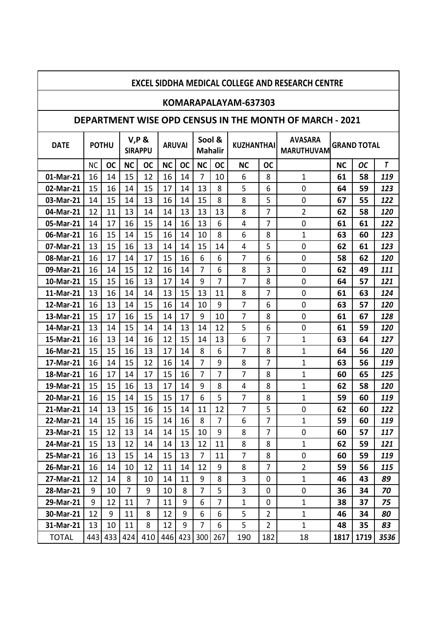## **KOMARAPALAYAM-637303**

## **DEPARTMENT WISE OPD CENSUS IN THE MONTH OF MARCH - 2021**

| <b>DATE</b>  |           | <b>POTHU</b> |           | <b>V,P &amp;</b><br><b>SIRAPPU</b> | <b>ARUVAI</b> |           | Sool &<br><b>Mahalir</b> |           | <b>KUZHANTHAI</b> |                | <b>AVASARA</b><br><b>MARUTHUVAM</b> |           | <b>GRAND TOTAL</b> |      |
|--------------|-----------|--------------|-----------|------------------------------------|---------------|-----------|--------------------------|-----------|-------------------|----------------|-------------------------------------|-----------|--------------------|------|
|              | <b>NC</b> | <b>OC</b>    | <b>NC</b> | <b>OC</b>                          | <b>NC</b>     | <b>OC</b> | <b>NC</b>                | <b>OC</b> | <b>NC</b>         | <b>OC</b>      |                                     | <b>NC</b> | <b>OC</b>          | T    |
| 01-Mar-21    | 16        | 14           | 15        | 12                                 | 16            | 14        | $\overline{7}$           | 10        | 6                 | 8              | 1                                   | 61        | 58                 | 119  |
| 02-Mar-21    | 15        | 16           | 14        | 15                                 | 17            | 14        | 13                       | 8         | 5                 | 6              | 0                                   | 64        | 59                 | 123  |
| 03-Mar-21    | 14        | 15           | 14        | 13                                 | 16            | 14        | 15                       | 8         | 8                 | 5              | $\mathbf 0$                         | 67        | 55                 | 122  |
| 04-Mar-21    | 12        | 11           | 13        | 14                                 | 14            | 13        | 13                       | 13        | 8                 | 7              | $\overline{2}$                      | 62        | 58                 | 120  |
| 05-Mar-21    | 14        | 17           | 16        | 15                                 | 14            | 16        | 13                       | 6         | 4                 | 7              | 0                                   | 61        | 61                 | 122  |
| 06-Mar-21    | 16        | 15           | 14        | 15                                 | 16            | 14        | 10                       | 8         | 6                 | 8              | 1                                   | 63        | 60                 | 123  |
| 07-Mar-21    | 13        | 15           | 16        | 13                                 | 14            | 14        | 15                       | 14        | 4                 | 5              | 0                                   | 62        | 61                 | 123  |
| 08-Mar-21    | 16        | 17           | 14        | 17                                 | 15            | 16        | 6                        | 6         | $\overline{7}$    | 6              | 0                                   | 58        | 62                 | 120  |
| 09-Mar-21    | 16        | 14           | 15        | 12                                 | 16            | 14        | $\overline{7}$           | 6         | 8                 | 3              | $\overline{0}$                      | 62        | 49                 | 111  |
| 10-Mar-21    | 15        | 15           | 16        | 13                                 | 17            | 14        | 9                        | 7         | $\overline{7}$    | 8              | 0                                   | 64        | 57                 | 121  |
| 11-Mar-21    | 13        | 16           | 14        | 14                                 | 13            | 15        | 13                       | 11        | 8                 | $\overline{7}$ | $\mathbf 0$                         | 61        | 63                 | 124  |
| 12-Mar-21    | 16        | 13           | 14        | 15                                 | 16            | 14        | 10                       | 9         | $\overline{7}$    | 6              | $\mathbf 0$                         | 63        | 57                 | 120  |
| 13-Mar-21    | 15        | 17           | 16        | 15                                 | 14            | 17        | 9                        | 10        | $\overline{7}$    | 8              | $\mathbf 0$                         | 61        | 67                 | 128  |
| 14-Mar-21    | 13        | 14           | 15        | 14                                 | 14            | 13        | 14                       | 12        | 5                 | 6              | $\mathbf 0$                         | 61        | 59                 | 120  |
| 15-Mar-21    | 16        | 13           | 14        | 16                                 | 12            | 15        | 14                       | 13        | 6                 | 7              | 1                                   | 63        | 64                 | 127  |
| 16-Mar-21    | 15        | 15           | 16        | 13                                 | 17            | 14        | 8                        | 6         | $\overline{7}$    | 8              | 1                                   | 64        | 56                 | 120  |
| 17-Mar-21    | 16        | 14           | 15        | 12                                 | 16            | 14        | $\overline{7}$           | 9         | 8                 | 7              | 1                                   | 63        | 56                 | 119  |
| 18-Mar-21    | 16        | 17           | 14        | 17                                 | 15            | 16        | 7                        | 7         | 7                 | 8              | $\mathbf{1}$                        | 60        | 65                 | 125  |
| 19-Mar-21    | 15        | 15           | 16        | 13                                 | 17            | 14        | 9                        | 8         | 4                 | 8              | 1                                   | 62        | 58                 | 120  |
| 20-Mar-21    | 16        | 15           | 14        | 15                                 | 15            | 17        | 6                        | 5         | $\overline{7}$    | 8              | $\mathbf{1}$                        | 59        | 60                 | 119  |
| 21-Mar-21    | 14        | 13           | 15        | 16                                 | 15            | 14        | 11                       | 12        | $\overline{7}$    | 5              | 0                                   | 62        | 60                 | 122  |
| 22-Mar-21    | 14        | 15           | 16        | 15                                 | 14            | 16        | 8                        | 7         | 6                 | 7              | $\mathbf{1}$                        | 59        | 60                 | 119  |
| 23-Mar-21    | 15        | 12           | 13        | 14                                 | 14            | 15        | 10                       | 9         | 8                 | 7              | 0                                   | 60        | 57                 | 117  |
| 24-Mar-21    | 15        | 13           | 12        | 14                                 | 14            | 13        | 12                       | 11        | 8                 | 8              | 1                                   | 62        | 59                 | 121  |
| 25-Mar-21    | 16        | 13           | 15        | 14                                 | 15            | 13        | 7                        | 11        | $\overline{7}$    | 8              | 0                                   | 60        | 59                 | 119  |
| 26-Mar-21    | 16        | 14           | 10        | 12                                 | 11            | 14        | 12                       | 9         | 8                 | $\overline{7}$ | $\overline{2}$                      | 59        | 56                 | 115  |
| 27-Mar-21    | 12        | 14           | 8         | 10                                 | 14            | 11        | 9                        | 8         | 3                 | $\mathbf{0}$   | $\mathbf{1}$                        | 46        | 43                 | 89   |
| 28-Mar-21    | 9         | 10           | 7         | 9                                  | 10            | 8         | 7                        | 5         | 3                 | 0              | 0                                   | 36        | 34                 | 70   |
| 29-Mar-21    | 9         | 12           | 11        | $\overline{7}$                     | 11            | 9         | 6                        | 7         | $\mathbf 1$       | $\mathbf 0$    | $\mathbf{1}$                        | 38        | 37                 | 75   |
| 30-Mar-21    | 12        | 9            | 11        | 8                                  | 12            | 9         | 6                        | 6         | 5                 | $\overline{2}$ | $\mathbf{1}$                        | 46        | 34                 | 80   |
| 31-Mar-21    | 13        | 10           | 11        | 8                                  | 12            | 9         | $\overline{7}$           | 6         | 5                 | $\overline{2}$ | $\mathbf{1}$                        | 48        | 35                 | 83   |
| <b>TOTAL</b> | 443       | 433          | 424       | 410                                | 446 423       |           | 300                      | 267       | 190               | 182            | 18                                  | 1817      | 1719               | 3536 |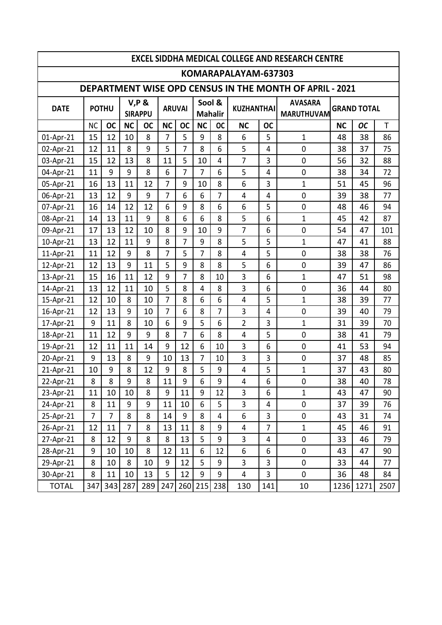| <b>EXCEL SIDDHA MEDICAL COLLEGE AND RESEARCH CENTRE</b> |           |              |                |                            |                |                |           |                |                      |                |                                                                |                    |           |      |
|---------------------------------------------------------|-----------|--------------|----------------|----------------------------|----------------|----------------|-----------|----------------|----------------------|----------------|----------------------------------------------------------------|--------------------|-----------|------|
|                                                         |           |              |                |                            |                |                |           |                | KOMARAPALAYAM-637303 |                |                                                                |                    |           |      |
|                                                         |           |              |                |                            |                |                |           |                |                      |                | <b>DEPARTMENT WISE OPD CENSUS IN THE MONTH OF APRIL - 2021</b> |                    |           |      |
| <b>DATE</b>                                             |           | <b>POTHU</b> |                | $V, P$ &<br><b>SIRAPPU</b> | <b>ARUVAI</b>  |                | Sool &    | <b>Mahalir</b> | <b>KUZHANTHAI</b>    |                | <b>AVASARA</b><br><b>MARUTHUVAM</b>                            | <b>GRAND TOTAL</b> |           |      |
|                                                         | <b>NC</b> | <b>OC</b>    | <b>NC</b>      | <b>OC</b>                  | <b>NC</b>      | <b>OC</b>      | <b>NC</b> | <b>OC</b>      | <b>NC</b>            | <b>OC</b>      |                                                                | <b>NC</b>          | <b>OC</b> | T    |
| 01-Apr-21                                               | 15        | 12           | 10             | 8                          | $\overline{7}$ | 5              | 9         | 8              | 6                    | 5              | 1                                                              | 48                 | 38        | 86   |
| 02-Apr-21                                               | 12        | 11           | 8              | 9                          | 5              | 7              | 8         | 6              | 5                    | 4              | 0                                                              | 38                 | 37        | 75   |
| 03-Apr-21                                               | 15        | 12           | 13             | 8                          | 11             | 5              | 10        | 4              | $\overline{7}$       | 3              | $\mathbf 0$                                                    | 56                 | 32        | 88   |
| 04-Apr-21                                               | 11        | 9            | 9              | 8                          | 6              | $\overline{7}$ | 7         | 6              | 5                    | 4              | 0                                                              | 38                 | 34        | 72   |
| 05-Apr-21                                               | 16        | 13           | 11             | 12                         | $\overline{7}$ | 9              | 10        | 8              | 6                    | 3              | $\mathbf 1$                                                    | 51                 | 45        | 96   |
| 06-Apr-21                                               | 13        | 12           | 9              | 9                          | $\overline{7}$ | 6              | 6         | 7              | $\overline{4}$       | 4              | 0                                                              | 39                 | 38        | 77   |
| 07-Apr-21                                               | 16        | 14           | 12             | 12                         | 6              | 9              | 8         | 6              | 6                    | 5              | 0                                                              | 48                 | 46        | 94   |
| 08-Apr-21                                               | 14        | 13           | 11             | 9                          | 8              | 6              | 6         | 8              | 5                    | 6              | 1                                                              | 45                 | 42        | 87   |
| 09-Apr-21                                               | 17        | 13           | 12             | 10                         | 8              | 9              | 10        | 9              | $\overline{7}$       | 6              | $\mathbf 0$                                                    | 54                 | 47        | 101  |
| 10-Apr-21                                               | 13        | 12           | 11             | 9                          | 8              | $\overline{7}$ | 9         | 8              | 5                    | 5              | 1                                                              | 47                 | 41        | 88   |
| 11-Apr-21                                               | 11        | 12           | 9              | 8                          | 7              | 5              | 7         | 8              | 4                    | 5              | 0                                                              | 38                 | 38        | 76   |
| 12-Apr-21                                               | 12        | 13           | 9              | 11                         | 5              | 9              | 8         | 8              | 5                    | 6              | 0                                                              | 39                 | 47        | 86   |
| 13-Apr-21                                               | 15        | 16           | 11             | 12                         | 9              | $\overline{7}$ | 8         | 10             | 3                    | 6              | $\mathbf 1$                                                    | 47                 | 51        | 98   |
| 14-Apr-21                                               | 13        | 12           | 11             | 10                         | 5              | 8              | 4         | 8              | 3                    | 6              | $\mathbf 0$                                                    | 36                 | 44        | 80   |
| 15-Apr-21                                               | 12        | 10           | 8              | 10                         | 7              | 8              | 6         | 6              | 4                    | 5              | 1                                                              | 38                 | 39        | 77   |
| 16-Apr-21                                               | 12        | 13           | 9              | 10                         | $\overline{7}$ | 6              | 8         | 7              | 3                    | $\overline{4}$ | 0                                                              | 39                 | 40        | 79   |
| 17-Apr-21                                               | 9         | 11           | 8              | 10                         | 6              | 9              | 5         | 6              | $\overline{2}$       | 3              | 1                                                              | 31                 | 39        | 70   |
| 18-Apr-21                                               | 11        | 12           | 9              | 9                          | 8              | 7              | 6         | 8              | $\overline{4}$       | 5              | $\mathbf 0$                                                    | 38                 | 41        | 79   |
| 19-Apr-21                                               | 12        | 11           | 11             | 14                         | 9              | 12             | 6         | 10             | 3                    | 6              | $\mathbf 0$                                                    | 41                 | 53        | 94   |
| 20-Apr-21                                               | 9         | 13           | 8              | 9                          | 10             | 13             | 7         | 10             | 3                    | 3              | 0                                                              | 37                 | 48        | 85   |
| 21-Apr-21                                               | 10        | 9            | 8              | 12                         | 9              | 8              | 5         | 9              | $\overline{4}$       | 5              | 1                                                              | 37                 | 43        | 80   |
| 22-Apr-21                                               | 8         | 8            | 9              | 8                          | 11             | q              | 6         | q              | $\overline{4}$       | 6              | 0                                                              | 38                 | 40        | 78   |
| 23-Apr-21                                               | 11        | 10           | 10             | 8                          | 9              | 11             | 9         | 12             | $\overline{3}$       | 6              | $\mathbf 1$                                                    | 43                 | 47        | 90   |
| 24-Apr-21                                               | 8         | 11           | 9              | 9                          | 11             | 10             | 6         | 5              | 3                    | 4              | $\pmb{0}$                                                      | 37                 | 39        | 76   |
| 25-Apr-21                                               | 7         | 7            | 8              | 8                          | 14             | 9              | 8         | 4              | 6                    | 3              | 0                                                              | 43                 | 31        | 74   |
| 26-Apr-21                                               | 12        | 11           | $\overline{7}$ | 8                          | 13             | 11             | 8         | 9              | 4                    | $\overline{7}$ | $\mathbf 1$                                                    | 45                 | 46        | 91   |
| 27-Apr-21                                               | 8         | 12           | 9              | 8                          | 8              | 13             | 5         | 9              | 3                    | 4              | $\pmb{0}$                                                      | 33                 | 46        | 79   |
| 28-Apr-21                                               | 9         | 10           | 10             | 8                          | 12             | 11             | 6         | 12             | 6                    | 6              | 0                                                              | 43                 | 47        | 90   |
| 29-Apr-21                                               | 8         | 10           | 8              | 10                         | 9              | 12             | 5         | 9              | 3                    | 3              | $\pmb{0}$                                                      | 33                 | 44        | 77   |
| 30-Apr-21                                               | 8         | 11           | 10             | 13                         | 5              | 12             | 9         | 9              | 4                    | $\overline{3}$ | $\mathbf 0$                                                    | 36                 | 48        | 84   |
| <b>TOTAL</b>                                            | 347       | 343          | 287            | 289                        | 247            | 260            | 215       | 238            | 130                  | 141            | 10                                                             | 1236               | 1271      | 2507 |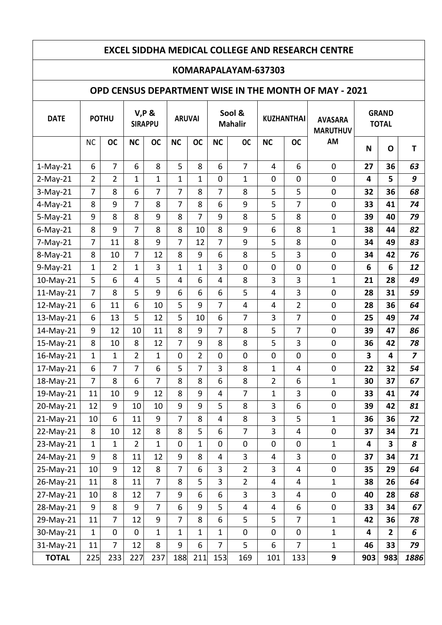### **KOMARAPALAYAM-637303**

### **OPD CENSUS DEPARTMENT WISE IN THE MONTH OF MAY - 2021**

| <b>DATE</b>  | <b>POTHU</b>   |                | <b>V,P &amp;</b><br><b>SIRAPPU</b> |                | <b>ARUVAI</b>  |                | Sool &<br><b>Mahalir</b> |                | <b>KUZHANTHAI</b> |                         | <b>AVASARA</b><br><b>MARUTHUV</b> | <b>GRAND</b><br><b>TOTAL</b> |                |                         |
|--------------|----------------|----------------|------------------------------------|----------------|----------------|----------------|--------------------------|----------------|-------------------|-------------------------|-----------------------------------|------------------------------|----------------|-------------------------|
|              | NC             | <b>OC</b>      | <b>NC</b>                          | <b>OC</b>      | <b>NC</b>      | <b>OC</b>      | <b>NC</b>                | <b>OC</b>      | <b>NC</b>         | <b>OC</b>               | AM                                | N                            | $\mathbf{o}$   | T                       |
| $1-May-21$   | 6              | $\overline{7}$ | 6                                  | 8              | 5              | 8              | 6                        | $\overline{7}$ | 4                 | 6                       | $\mathbf 0$                       | 27                           | 36             | 63                      |
| $2-May-21$   | $\overline{2}$ | $\overline{2}$ | 1                                  | $\mathbf{1}$   | $\mathbf{1}$   | $\mathbf 1$    | $\pmb{0}$                | $\mathbf{1}$   | 0                 | $\pmb{0}$               | $\mathbf 0$                       | 4                            | 5              | 9                       |
| $3-May-21$   | $\overline{7}$ | 8              | 6                                  | $\overline{7}$ | 7              | 8              | $\overline{7}$           | 8              | 5                 | 5                       | $\pmb{0}$                         | 32                           | 36             | 68                      |
| $4-May-21$   | 8              | 9              | 7                                  | 8              | $\overline{7}$ | 8              | $\boldsymbol{6}$         | 9              | 5                 | 7                       | $\pmb{0}$                         | 33                           | 41             | 74                      |
| $5-May-21$   | 9              | 8              | 8                                  | 9              | 8              | $\overline{7}$ | 9                        | 8              | 5                 | 8                       | $\pmb{0}$                         | 39                           | 40             | 79                      |
| $6$ -May-21  | 8              | 9              | $\overline{7}$                     | 8              | 8              | 10             | 8                        | 9              | 6                 | 8                       | $\mathbf{1}$                      | 38                           | 44             | 82                      |
| $7-May-21$   | $\overline{7}$ | 11             | 8                                  | 9              | $\overline{7}$ | 12             | $\overline{7}$           | 9              | 5                 | 8                       | $\pmb{0}$                         | 34                           | 49             | 83                      |
| 8-May-21     | 8              | 10             | 7                                  | 12             | 8              | 9              | 6                        | 8              | 5                 | 3                       | $\mathbf 0$                       | 34                           | 42             | 76                      |
| $9-May-21$   | $\mathbf 1$    | $\overline{2}$ | 1                                  | 3              | $\mathbf{1}$   | $\mathbf{1}$   | 3                        | $\pmb{0}$      | 0                 | $\pmb{0}$               | $\pmb{0}$                         | 6                            | 6              | 12                      |
| 10-May-21    | 5              | 6              | 4                                  | 5              | 4              | 6              | $\overline{4}$           | 8              | 3                 | 3                       | $\mathbf{1}$                      | 21                           | 28             | 49                      |
| $11-May-21$  | $\overline{7}$ | 8              | 5                                  | 9              | 6              | 6              | $\boldsymbol{6}$         | 5              | 4                 | 3                       | $\mathbf 0$                       | 28                           | 31             | 59                      |
| 12-May-21    | 6              | 11             | 6                                  | 10             | 5              | 9              | $\overline{7}$           | $\overline{4}$ | 4                 | $\overline{2}$          | $\mathbf 0$                       | 28                           | 36             | 64                      |
| 13-May-21    | 6              | 13             | 5                                  | 12             | 5              | 10             | 6                        | $\overline{7}$ | 3                 | $\overline{7}$          | $\mathbf 0$                       | 25                           | 49             | 74                      |
| 14-May-21    | 9              | 12             | 10                                 | 11             | 8              | 9              | $\overline{7}$           | 8              | 5                 | 7                       | $\mathbf 0$                       | 39                           | 47             | 86                      |
| 15-May-21    | 8              | 10             | 8                                  | 12             | $\overline{7}$ | 9              | 8                        | 8              | 5                 | 3                       | $\pmb{0}$                         | 36                           | 42             | 78                      |
| 16-May-21    | 1              | $\mathbf{1}$   | $\overline{2}$                     | 1              | 0              | $\overline{2}$ | $\mathbf 0$              | $\pmb{0}$      | $\pmb{0}$         | $\mathbf 0$             | $\pmb{0}$                         | 3                            | 4              | $\overline{\mathbf{z}}$ |
| 17-May-21    | 6              | $\overline{7}$ | 7                                  | 6              | 5              | $\overline{7}$ | 3                        | 8              | $\mathbf{1}$      | 4                       | $\pmb{0}$                         | 22                           | 32             | 54                      |
| 18-May-21    | $\overline{7}$ | 8              | 6                                  | $\overline{7}$ | 8              | 8              | 6                        | 8              | $\overline{2}$    | 6                       | $\mathbf{1}$                      | 30                           | 37             | 67                      |
| 19-May-21    | 11             | 10             | 9                                  | 12             | 8              | 9              | $\overline{4}$           | $\overline{7}$ | $\mathbf{1}$      | 3                       | $\pmb{0}$                         | 33                           | 41             | 74                      |
| 20-May-21    | 12             | 9              | 10                                 | 10             | 9              | 9              | 5                        | 8              | 3                 | 6                       | $\pmb{0}$                         | 39                           | 42             | 81                      |
| $21$ -May-21 | 10             | 6              | 11                                 | 9              | 7              | 8              | $\overline{\mathbf{4}}$  | 8              | 3                 | 5                       | 1                                 | 36                           | 36             | 72                      |
| 22-May-21    | 8              | 10             | 12                                 | 8              | 8              | 5              | 6                        | 7              | 3                 | 4                       | $\pmb{0}$                         | 37                           | 34             | 71                      |
| 23-May-21    | $\mathbf{1}$   | $\mathbf{1}$   | $\overline{2}$                     | $\mathbf{1}$   | 0              | $\mathbf{1}$   | $\mathbf 0$              | $\mathbf 0$    | 0                 | $\mathbf 0$             | $\mathbf{1}$                      | 4                            | 3              | 8                       |
| 24-May-21    | 9              | 8              | 11                                 | 12             | 9              | 8              | $\overline{\mathbf{4}}$  | 3              | 4                 | 3                       | $\mathsf{O}\xspace$               | 37                           | 34             | 71                      |
| 25-May-21    | 10             | 9              | 12                                 | 8              | $\overline{7}$ | 6              | 3                        | $\overline{2}$ | 3                 | $\overline{\mathbf{4}}$ | $\pmb{0}$                         | 35                           | 29             | 64                      |
| 26-May-21    | 11             | 8              | 11                                 | $\overline{7}$ | 8              | 5              | 3                        | $\overline{2}$ | 4                 | $\overline{4}$          | $\mathbf 1$                       | 38                           | 26             | 64                      |
| 27-May-21    | 10             | 8              | 12                                 | $\overline{7}$ | 9              | 6              | 6                        | 3              | 3                 | 4                       | $\pmb{0}$                         | 40                           | 28             | 68                      |
| 28-May-21    | 9              | 8              | 9                                  | $\overline{7}$ | 6              | 9              | 5                        | $\overline{4}$ | 4                 | 6                       | $\pmb{0}$                         | 33                           | 34             | 67                      |
| 29-May-21    | 11             | $\overline{7}$ | 12                                 | 9              | $\overline{7}$ | 8              | 6                        | 5              | 5                 | $\overline{7}$          | $\mathbf{1}$                      | 42                           | 36             | 78                      |
| 30-May-21    | $\mathbf{1}$   | $\mathbf 0$    | $\mathbf 0$                        | $\mathbf{1}$   | $\mathbf{1}$   | $\mathbf{1}$   | $\mathbf{1}$             | $\pmb{0}$      | 0                 | $\pmb{0}$               | $\mathbf 1$                       | 4                            | $\overline{2}$ | 6                       |
| 31-May-21    | 11             | $\overline{7}$ | 12                                 | 8              | 9              | 6              | $\overline{7}$           | 5              | 6                 | $\overline{7}$          | $\mathbf{1}$                      | 46                           | 33             | 79                      |
| <b>TOTAL</b> | 225            | 233            | 227                                | 237            | 188            | 211            | 153                      | 169            | 101               | 133                     | 9                                 | 903                          | 983            | 1886                    |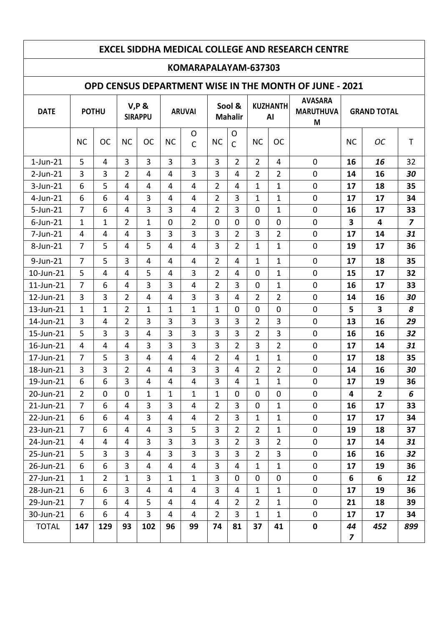#### **KOMARAPALAYAM-637303**

#### **OPD CENSUS DEPARTMENT WISE IN THE MONTH OF JUNE - 2021**

| <b>DATE</b>  | <b>POTHU</b>   |                |                | $V, P$ &<br><b>SIRAPPU</b> |                | <b>ARUVAI</b>     |                | Sool &<br><b>Mahalir</b> |                | <b>KUZHANTH</b><br>AI | <b>AVASARA</b><br><b>MARUTHUVA</b><br>M |                               | <b>GRAND TOTAL</b> |                |
|--------------|----------------|----------------|----------------|----------------------------|----------------|-------------------|----------------|--------------------------|----------------|-----------------------|-----------------------------------------|-------------------------------|--------------------|----------------|
|              | <b>NC</b>      | <b>OC</b>      | <b>NC</b>      | <b>OC</b>                  | <b>NC</b>      | O<br>$\mathsf{C}$ | <b>NC</b>      | $\circ$<br>$\mathsf{C}$  | <b>NC</b>      | <b>OC</b>             |                                         | <b>NC</b>                     | <b>OC</b>          | $\mathsf T$    |
| $1$ -Jun-21  | 5              | $\overline{4}$ | 3              | 3                          | 3              | 3                 | 3              | $\overline{2}$           | $\overline{2}$ | $\overline{4}$        | $\mathbf 0$                             | 16                            | 16                 | 32             |
| $2$ -Jun-21  | 3              | 3              | $\overline{2}$ | $\overline{4}$             | 4              | 3                 | 3              | $\overline{4}$           | $\overline{2}$ | $\overline{2}$        | $\mathbf 0$                             | 14                            | 16                 | 30             |
| 3-Jun-21     | 6              | 5              | 4              | 4                          | 4              | 4                 | $\overline{2}$ | $\overline{4}$           | 1              | 1                     | $\mathbf 0$                             | 17                            | 18                 | 35             |
| 4-Jun-21     | 6              | 6              | 4              | 3                          | 4              | $\overline{4}$    | $\overline{2}$ | 3                        | 1              | 1                     | 0                                       | 17                            | 17                 | 34             |
| 5-Jun-21     | $\overline{7}$ | 6              | 4              | 3                          | 3              | 4                 | $\overline{2}$ | 3                        | $\mathbf 0$    | 1                     | 0                                       | 16                            | 17                 | 33             |
| $6$ -Jun-21  | $\mathbf{1}$   | $\mathbf{1}$   | $\overline{2}$ | $\mathbf 1$                | $\mathbf 0$    | $\overline{2}$    | $\mathbf 0$    | $\mathbf 0$              | $\mathbf 0$    | $\mathbf 0$           | $\pmb{0}$                               | $\overline{\mathbf{3}}$       | 4                  | $\overline{z}$ |
| 7-Jun-21     | $\overline{4}$ | $\overline{4}$ | $\overline{4}$ | 3                          | 3              | 3                 | 3              | $\overline{2}$           | 3              | $\overline{2}$        | $\pmb{0}$                               | 17                            | 14                 | 31             |
| 8-Jun-21     | $\overline{7}$ | 5              | 4              | 5                          | 4              | 4                 | 3              | $\overline{2}$           | 1              | 1                     | $\pmb{0}$                               | 19                            | 17                 | 36             |
| 9-Jun-21     | $\overline{7}$ | 5              | 3              | $\overline{4}$             | 4              | 4                 | $\overline{2}$ | $\overline{4}$           | $\mathbf{1}$   | $\mathbf{1}$          | $\mathbf 0$                             | 17                            | 18                 | 35             |
| 10-Jun-21    | 5              | $\overline{4}$ | 4              | 5                          | 4              | 3                 | $\overline{2}$ | 4                        | $\mathbf 0$    | $\mathbf 1$           | $\mathbf 0$                             | 15                            | 17                 | 32             |
| 11-Jun-21    | $\overline{7}$ | 6              | 4              | 3                          | 3              | 4                 | $\overline{2}$ | $\overline{3}$           | $\mathbf 0$    | $\mathbf{1}$          | $\pmb{0}$                               | 16                            | 17                 | 33             |
| 12-Jun-21    | 3              | 3              | 2              | 4                          | 4              | 3                 | 3              | $\overline{4}$           | $\overline{2}$ | $\overline{2}$        | $\pmb{0}$                               | 14                            | 16                 | 30             |
| 13-Jun-21    | $\mathbf{1}$   | 1              | 2              | $\mathbf 1$                | $\mathbf 1$    | $\mathbf{1}$      | 1              | $\mathbf 0$              | $\mathbf 0$    | $\mathbf 0$           | $\mathbf 0$                             | 5                             | 3                  | 8              |
| 14-Jun-21    | 3              | 4              | $\overline{2}$ | 3                          | 3              | 3                 | 3              | 3                        | $\overline{2}$ | 3                     | 0                                       | 13                            | 16                 | 29             |
| 15-Jun-21    | 5              | 3              | 3              | 4                          | 3              | 3                 | 3              | $\overline{3}$           | $\overline{2}$ | $\overline{3}$        | $\pmb{0}$                               | 16                            | 16                 | 32             |
| 16-Jun-21    | $\overline{4}$ | $\overline{4}$ | $\overline{4}$ | 3                          | 3              | 3                 | $\overline{3}$ | $\overline{2}$           | 3              | $\overline{2}$        | $\mathbf 0$                             | 17                            | 14                 | 31             |
| 17-Jun-21    | $\overline{7}$ | 5              | 3              | 4                          | 4              | $\overline{4}$    | $\overline{2}$ | 4                        | 1              | 1                     | $\pmb{0}$                               | 17                            | 18                 | 35             |
| 18-Jun-21    | 3              | 3              | $\overline{2}$ | $\overline{4}$             | 4              | 3                 | 3              | $\overline{4}$           | $\overline{2}$ | $\overline{2}$        | $\pmb{0}$                               | 14                            | 16                 | 30             |
| 19-Jun-21    | 6              | 6              | 3              | 4                          | 4              | 4                 | 3              | $\overline{4}$           | $\mathbf{1}$   | 1                     | $\mathbf 0$                             | 17                            | 19                 | 36             |
| 20-Jun-21    | $\overline{2}$ | $\Omega$       | $\Omega$       | 1                          | 1              | $\mathbf{1}$      | $\mathbf{1}$   | $\mathbf 0$              | $\mathbf 0$    | $\Omega$              | $\mathbf 0$                             | 4                             | $\overline{2}$     | 6              |
| 21-Jun-21    | 7              | 6              | 4              | 3                          | 3              | 4                 | $\overline{2}$ | 3                        | $\mathbf 0$    | 1                     | 0                                       | 16                            | 17                 | 33             |
| 22-Jun-21    | 6              | 6              | 4              | 3                          | $\overline{4}$ | 4                 | $\overline{2}$ | 3                        | $\mathbf{1}$   | 1                     | $\pmb{0}$                               | 17                            | 17                 | 34             |
| 23-Jun-21    | $\overline{7}$ | 6              | 4              | 4                          | 3              | 5                 | 3              | $\overline{2}$           | $\overline{2}$ | $\mathbf{1}$          | $\pmb{0}$                               | 19                            | 18                 | 37             |
| 24-Jun-21    | 4              | $\overline{4}$ | 4              | $\overline{3}$             | $\overline{3}$ | $\overline{3}$    | 3              | $2^{\circ}$              | $\mathbf{3}$   | $\overline{2}$        | 0                                       | 17                            | 14                 | 31             |
| 25-Jun-21    | 5              | 3              | 3              | $\overline{4}$             | 3              | 3                 | 3              | 3                        | $\overline{2}$ | 3                     | 0                                       | 16                            | 16                 | 32             |
| 26-Jun-21    | 6              | 6              | 3              | 4                          | 4              | 4                 | $\overline{3}$ | $\overline{4}$           | $\mathbf{1}$   | $\mathbf{1}$          | 0                                       | 17                            | 19                 | 36             |
| 27-Jun-21    | $\mathbf{1}$   | $\overline{2}$ | 1              | 3                          | $\mathbf{1}$   | $\mathbf{1}$      | $\overline{3}$ | $\mathbf 0$              | $\mathbf 0$    | $\mathbf 0$           | 0                                       | 6                             | 6                  | 12             |
| 28-Jun-21    | 6              | 6              | 3              | 4                          | 4              | 4                 | 3              | 4                        | $\mathbf{1}$   | $\mathbf{1}$          | 0                                       | 17                            | 19                 | 36             |
| 29-Jun-21    | $\overline{7}$ | 6              | 4              | 5                          | 4              | 4                 | 4              | $\overline{2}$           | $\overline{2}$ | $\mathbf{1}$          | 0                                       | 21                            | 18                 | 39             |
| 30-Jun-21    | 6              | 6              | $\overline{4}$ | $\overline{3}$             | $\overline{4}$ | 4                 | $\overline{2}$ | $\overline{3}$           | $\mathbf{1}$   | $\mathbf{1}$          | 0                                       | 17                            | 17                 | 34             |
| <b>TOTAL</b> | 147            | 129            | 93             | 102                        | 96             | 99                | 74             | 81                       | 37             | 41                    | $\mathbf 0$                             | 44<br>$\overline{\mathbf{z}}$ | 452                | 899            |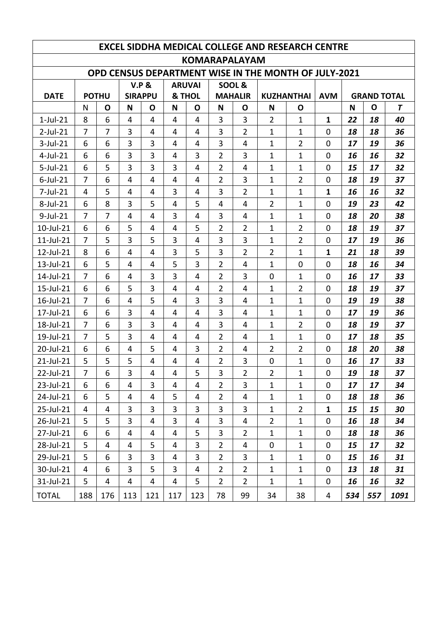| <b>EXCEL SIDDHA MEDICAL COLLEGE AND RESEARCH CENTRE</b> |                      |                |                |                         |                |                |                |                |                                                      |                   |                |                    |     |      |
|---------------------------------------------------------|----------------------|----------------|----------------|-------------------------|----------------|----------------|----------------|----------------|------------------------------------------------------|-------------------|----------------|--------------------|-----|------|
|                                                         | <b>KOMARAPALAYAM</b> |                |                |                         |                |                |                |                |                                                      |                   |                |                    |     |      |
|                                                         |                      |                |                |                         |                |                |                |                | OPD CENSUS DEPARTMENT WISE IN THE MONTH OF JULY-2021 |                   |                |                    |     |      |
|                                                         |                      |                |                | <b>V.P &amp;</b>        |                | <b>ARUVAI</b>  |                | SOOL&          |                                                      |                   |                |                    |     |      |
| <b>DATE</b>                                             |                      | <b>POTHU</b>   |                | <b>SIRAPPU</b>          |                | & THOL         |                | <b>MAHALIR</b> |                                                      | <b>KUZHANTHAI</b> | <b>AVM</b>     | <b>GRAND TOTAL</b> |     |      |
|                                                         | N                    | O              | N              | O                       | N              | $\mathbf O$    | N              | O              | N                                                    | O                 |                | N                  | O   | T    |
| $1$ -Jul-21                                             | 8                    | 6              | 4              | $\overline{\mathbf{4}}$ | 4              | $\overline{4}$ | 3              | 3              | $\overline{2}$                                       | $\mathbf{1}$      | $\mathbf{1}$   | 22                 | 18  | 40   |
| $2$ -Jul-21                                             | $\overline{7}$       | $\overline{7}$ | $\overline{3}$ | 4                       | 4              | 4              | 3              | $\overline{2}$ | $\mathbf{1}$                                         | $\mathbf{1}$      | $\overline{0}$ | 18                 | 18  | 36   |
| $3$ -Jul-21                                             | 6                    | 6              | 3              | 3                       | 4              | 4              | 3              | 4              | 1                                                    | $\overline{2}$    | 0              | 17                 | 19  | 36   |
| $4$ -Jul-21                                             | 6                    | 6              | 3              | 3                       | 4              | 3              | $\overline{2}$ | 3              | $\mathbf{1}$                                         | $\mathbf{1}$      | $\mathbf 0$    | 16                 | 16  | 32   |
| $5$ -Jul-21                                             | 6                    | 5              | $\overline{3}$ | 3                       | 3              | 4              | $\overline{2}$ | 4              | $\mathbf{1}$                                         | $\mathbf{1}$      | $\overline{0}$ | 15                 | 17  | 32   |
| $6$ -Jul-21                                             | 7                    | 6              | 4              | $\overline{4}$          | 4              | 4              | $\overline{2}$ | 3              | 1                                                    | $\overline{2}$    | 0              | 18                 | 19  | 37   |
| $7$ -Jul-21                                             | 4                    | 5              | 4              | 4                       | 3              | 4              | $\overline{3}$ | $\overline{2}$ | $\mathbf{1}$                                         | $\mathbf{1}$      | $\mathbf{1}$   | 16                 | 16  | 32   |
| 8-Jul-21                                                | 6                    | 8              | 3              | 5                       | 4              | 5              | $\overline{4}$ | 4              | $\overline{2}$                                       | $\mathbf{1}$      | $\overline{0}$ | 19                 | 23  | 42   |
| $9$ -Jul-21                                             | $\overline{7}$       | $\overline{7}$ | $\overline{4}$ | 4                       | 3              | 4              | 3              | 4              | $\mathbf{1}$                                         | $\mathbf{1}$      | $\mathbf 0$    | 18                 | 20  | 38   |
| 10-Jul-21                                               | 6                    | 6              | 5              | 4                       | 4              | 5              | $\overline{2}$ | $\overline{2}$ | $\mathbf{1}$                                         | $\overline{2}$    | 0              | 18                 | 19  | 37   |
| $11$ -Jul- $21$                                         | $\overline{7}$       | 5              | 3              | 5                       | 3              | 4              | 3              | 3              | $\mathbf{1}$                                         | 2                 | $\mathbf 0$    | 17                 | 19  | 36   |
| 12-Jul-21                                               | 8                    | 6              | 4              | 4                       | 3              | 5              | 3              | $\overline{2}$ | $\overline{2}$                                       | $\mathbf{1}$      | $\mathbf{1}$   | 21                 | 18  | 39   |
| 13-Jul-21                                               | 6                    | 5              | 4              | 4                       | 5              | 3              | $\overline{2}$ | 4              | 1                                                    | $\overline{0}$    | 0              | 18                 | 16  | 34   |
| 14-Jul-21                                               | $\overline{7}$       | 6              | 4              | 3                       | 3              | 4              | $\overline{2}$ | 3              | $\overline{0}$                                       | $\mathbf{1}$      | 0              | 16                 | 17  | 33   |
| 15-Jul-21                                               | 6                    | 6              | 5              | 3                       | 4              | 4              | $\overline{2}$ | 4              | 1                                                    | $\overline{2}$    | $\overline{0}$ | 18                 | 19  | 37   |
| 16-Jul-21                                               | $\overline{7}$       | 6              | $\overline{4}$ | 5                       | 4              | 3              | 3              | 4              | 1                                                    | $\mathbf{1}$      | $\overline{0}$ | 19                 | 19  | 38   |
| 17-Jul-21                                               | 6                    | 6              | 3              | 4                       | 4              | 4              | 3              | 4              | 1                                                    | $\mathbf{1}$      | 0              | 17                 | 19  | 36   |
| 18-Jul-21                                               | $\overline{7}$       | 6              | 3              | 3                       | 4              | 4              | 3              | 4              | 1                                                    | $\overline{2}$    | $\mathbf 0$    | 18                 | 19  | 37   |
| 19-Jul-21                                               | $\overline{7}$       | 5              | 3              | 4                       | 4              | 4              | $\overline{2}$ | 4              | $\mathbf{1}$                                         | $\mathbf{1}$      | $\overline{0}$ | 17                 | 18  | 35   |
| 20-Jul-21                                               | 6                    | 6              | 4              | 5                       | 4              | 3              | $\overline{2}$ | 4              | $\overline{2}$                                       | $\overline{2}$    | 0              | 18                 | 20  | 38   |
| 21-Jul-21                                               | 5                    | 5              | 5              | 4                       | 4              | 4              | 2              | 3              | $\mathbf 0$                                          | $\mathbf{1}$      | 0              | 16                 | 17  | 33   |
| 22-Jul-21                                               | $\overline{7}$       | 6              | 3              | 4                       | 4              | 5              | 3              | $\overline{2}$ | $\overline{2}$                                       | 1                 | $\pmb{0}$      | 19                 | 18  | 37   |
| 23-Jul-21                                               | 6                    | 6              | 4              | 3                       | 4              | 4              | $\overline{2}$ | 3              | $\mathbf{1}$                                         | $\mathbf{1}$      | 0              | 17                 | 17  | 34   |
| 24-Jul-21                                               | 6                    | 5              | $\overline{4}$ | 4                       | 5              | 4              | $\overline{2}$ | 4              | $\mathbf{1}$                                         | $\mathbf{1}$      | 0              | 18                 | 18  | 36   |
| 25-Jul-21                                               | $\overline{4}$       | 4              | $\overline{3}$ | $\overline{3}$          | 3              | 3              | 3              | 3              | $\mathbf{1}$                                         | $\overline{2}$    | $\mathbf{1}$   | 15                 | 15  | 30   |
| 26-Jul-21                                               | 5                    | 5              | 3              | 4                       | $\overline{3}$ | 4              | $\overline{3}$ | 4              | $\overline{2}$                                       | $\mathbf{1}$      | 0              | 16                 | 18  | 34   |
| 27-Jul-21                                               | 6                    | 6              | 4              | 4                       | 4              | 5              | 3              | $\overline{2}$ | $\mathbf{1}$                                         | $\mathbf 1$       | 0              | 18                 | 18  | 36   |
| 28-Jul-21                                               | 5                    | 4              | 4              | 5                       | 4              | 3              | $\overline{2}$ | 4              | 0                                                    | $\mathbf{1}$      | 0              | 15                 | 17  | 32   |
| 29-Jul-21                                               | 5                    | 6              | $\overline{3}$ | 3                       | 4              | 3              | $\overline{2}$ | 3              | $\mathbf{1}$                                         | $\mathbf{1}$      | 0              | 15                 | 16  | 31   |
| 30-Jul-21                                               | 4                    | 6              | 3              | 5                       | 3              | 4              | $\overline{2}$ | $\overline{2}$ | $\mathbf{1}$                                         | $\mathbf{1}$      | 0              | 13                 | 18  | 31   |
| 31-Jul-21                                               | 5                    | 4              | 4              | 4                       | 4              | 5              | $\overline{2}$ | $\overline{2}$ | $\mathbf{1}$                                         | $\mathbf{1}$      | 0              | 16                 | 16  | 32   |
| <b>TOTAL</b>                                            | 188                  | 176            | 113            | 121                     | 117            | 123            | 78             | 99             | 34                                                   | 38                | 4              | 534                | 557 | 1091 |